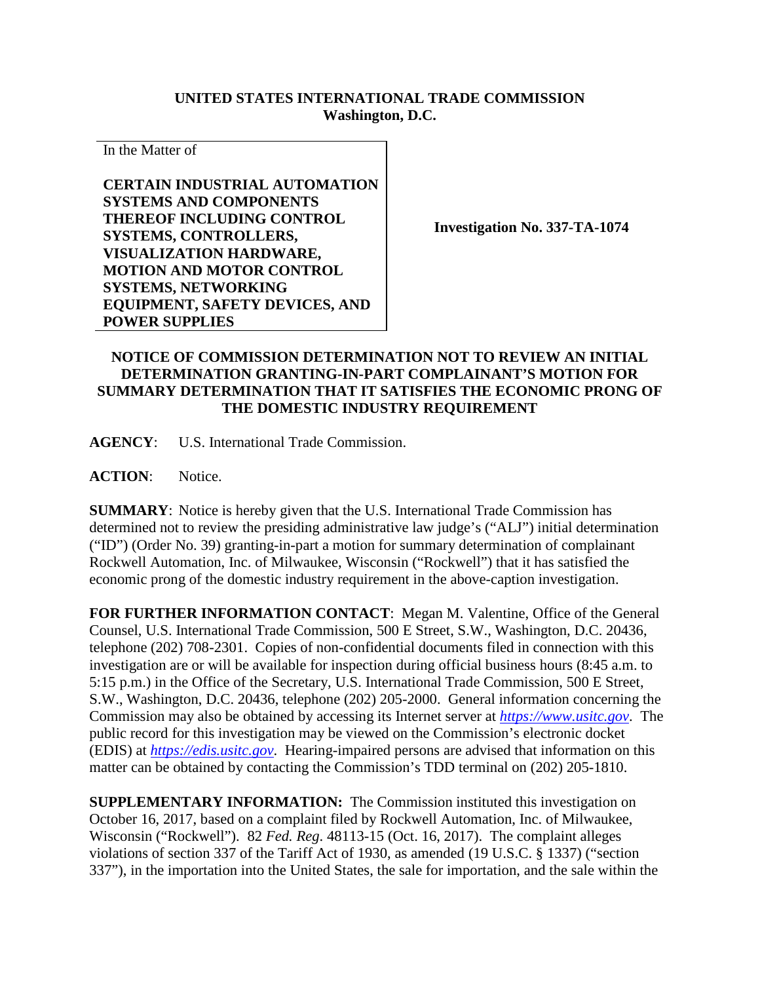## **UNITED STATES INTERNATIONAL TRADE COMMISSION Washington, D.C.**

In the Matter of

**CERTAIN INDUSTRIAL AUTOMATION SYSTEMS AND COMPONENTS THEREOF INCLUDING CONTROL SYSTEMS, CONTROLLERS, VISUALIZATION HARDWARE, MOTION AND MOTOR CONTROL SYSTEMS, NETWORKING EQUIPMENT, SAFETY DEVICES, AND POWER SUPPLIES**

**Investigation No. 337-TA-1074**

## **NOTICE OF COMMISSION DETERMINATION NOT TO REVIEW AN INITIAL DETERMINATION GRANTING-IN-PART COMPLAINANT'S MOTION FOR SUMMARY DETERMINATION THAT IT SATISFIES THE ECONOMIC PRONG OF THE DOMESTIC INDUSTRY REQUIREMENT**

**AGENCY**: U.S. International Trade Commission.

**ACTION**: Notice.

**SUMMARY**: Notice is hereby given that the U.S. International Trade Commission has determined not to review the presiding administrative law judge's ("ALJ") initial determination ("ID") (Order No. 39) granting-in-part a motion for summary determination of complainant Rockwell Automation, Inc. of Milwaukee, Wisconsin ("Rockwell") that it has satisfied the economic prong of the domestic industry requirement in the above-caption investigation.

**FOR FURTHER INFORMATION CONTACT**: Megan M. Valentine, Office of the General Counsel, U.S. International Trade Commission, 500 E Street, S.W., Washington, D.C. 20436, telephone (202) 708-2301. Copies of non-confidential documents filed in connection with this investigation are or will be available for inspection during official business hours (8:45 a.m. to 5:15 p.m.) in the Office of the Secretary, U.S. International Trade Commission, 500 E Street, S.W., Washington, D.C. 20436, telephone (202) 205-2000. General information concerning the Commission may also be obtained by accessing its Internet server at *[https://www.usitc.gov](https://www.usitc.gov/)*. The public record for this investigation may be viewed on the Commission's electronic docket (EDIS) at *[https://edis.usitc.gov](https://edis.usitc.gov/)*. Hearing-impaired persons are advised that information on this matter can be obtained by contacting the Commission's TDD terminal on (202) 205-1810.

**SUPPLEMENTARY INFORMATION:** The Commission instituted this investigation on October 16, 2017, based on a complaint filed by Rockwell Automation, Inc. of Milwaukee, Wisconsin ("Rockwell"). 82 *Fed. Reg*. 48113-15 (Oct. 16, 2017). The complaint alleges violations of section 337 of the Tariff Act of 1930, as amended (19 U.S.C. § 1337) ("section 337"), in the importation into the United States, the sale for importation, and the sale within the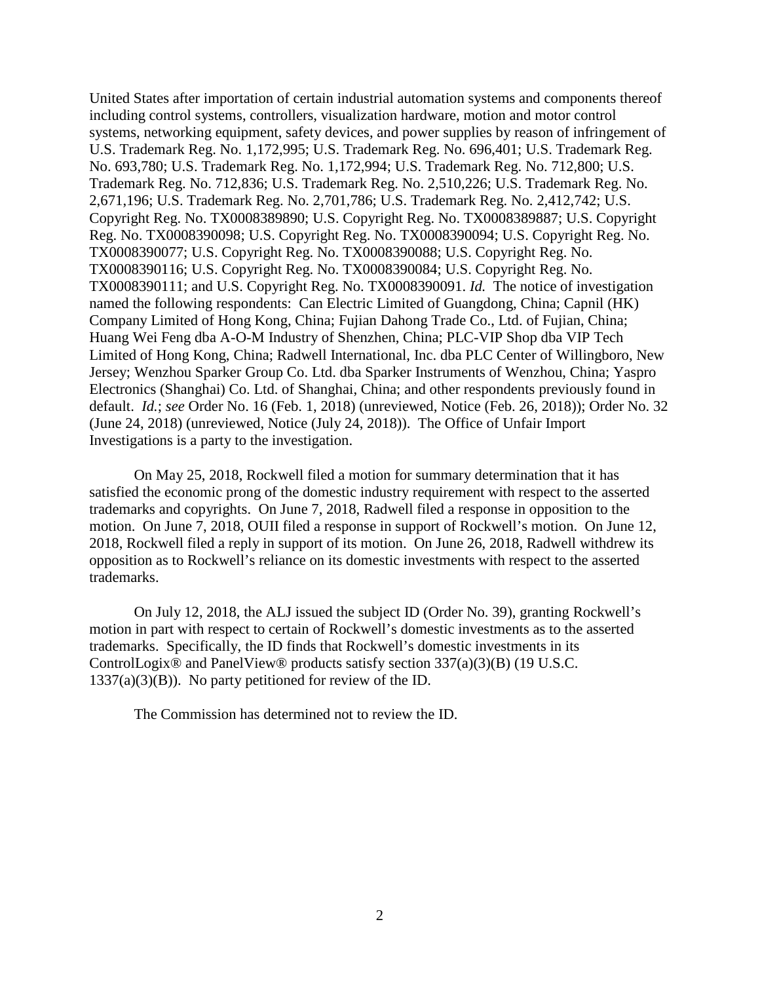United States after importation of certain industrial automation systems and components thereof including control systems, controllers, visualization hardware, motion and motor control systems, networking equipment, safety devices, and power supplies by reason of infringement of U.S. Trademark Reg. No. 1,172,995; U.S. Trademark Reg. No. 696,401; U.S. Trademark Reg. No. 693,780; U.S. Trademark Reg. No. 1,172,994; U.S. Trademark Reg. No. 712,800; U.S. Trademark Reg. No. 712,836; U.S. Trademark Reg. No. 2,510,226; U.S. Trademark Reg. No. 2,671,196; U.S. Trademark Reg. No. 2,701,786; U.S. Trademark Reg. No. 2,412,742; U.S. Copyright Reg. No. TX0008389890; U.S. Copyright Reg. No. TX0008389887; U.S. Copyright Reg. No. TX0008390098; U.S. Copyright Reg. No. TX0008390094; U.S. Copyright Reg. No. TX0008390077; U.S. Copyright Reg. No. TX0008390088; U.S. Copyright Reg. No. TX0008390116; U.S. Copyright Reg. No. TX0008390084; U.S. Copyright Reg. No. TX0008390111; and U.S. Copyright Reg. No. TX0008390091. *Id.* The notice of investigation named the following respondents: Can Electric Limited of Guangdong, China; Capnil (HK) Company Limited of Hong Kong, China; Fujian Dahong Trade Co., Ltd. of Fujian, China; Huang Wei Feng dba A-O-M Industry of Shenzhen, China; PLC-VIP Shop dba VIP Tech Limited of Hong Kong, China; Radwell International, Inc. dba PLC Center of Willingboro, New Jersey; Wenzhou Sparker Group Co. Ltd. dba Sparker Instruments of Wenzhou, China; Yaspro Electronics (Shanghai) Co. Ltd. of Shanghai, China; and other respondents previously found in default. *Id.*; *see* Order No. 16 (Feb. 1, 2018) (unreviewed, Notice (Feb. 26, 2018)); Order No. 32 (June 24, 2018) (unreviewed, Notice (July 24, 2018)). The Office of Unfair Import Investigations is a party to the investigation.

On May 25, 2018, Rockwell filed a motion for summary determination that it has satisfied the economic prong of the domestic industry requirement with respect to the asserted trademarks and copyrights. On June 7, 2018, Radwell filed a response in opposition to the motion. On June 7, 2018, OUII filed a response in support of Rockwell's motion. On June 12, 2018, Rockwell filed a reply in support of its motion. On June 26, 2018, Radwell withdrew its opposition as to Rockwell's reliance on its domestic investments with respect to the asserted trademarks.

On July 12, 2018, the ALJ issued the subject ID (Order No. 39), granting Rockwell's motion in part with respect to certain of Rockwell's domestic investments as to the asserted trademarks. Specifically, the ID finds that Rockwell's domestic investments in its ControlLogix® and PanelView® products satisfy section 337(a)(3)(B) (19 U.S.C.  $1337(a)(3)(B)$ . No party petitioned for review of the ID.

The Commission has determined not to review the ID.